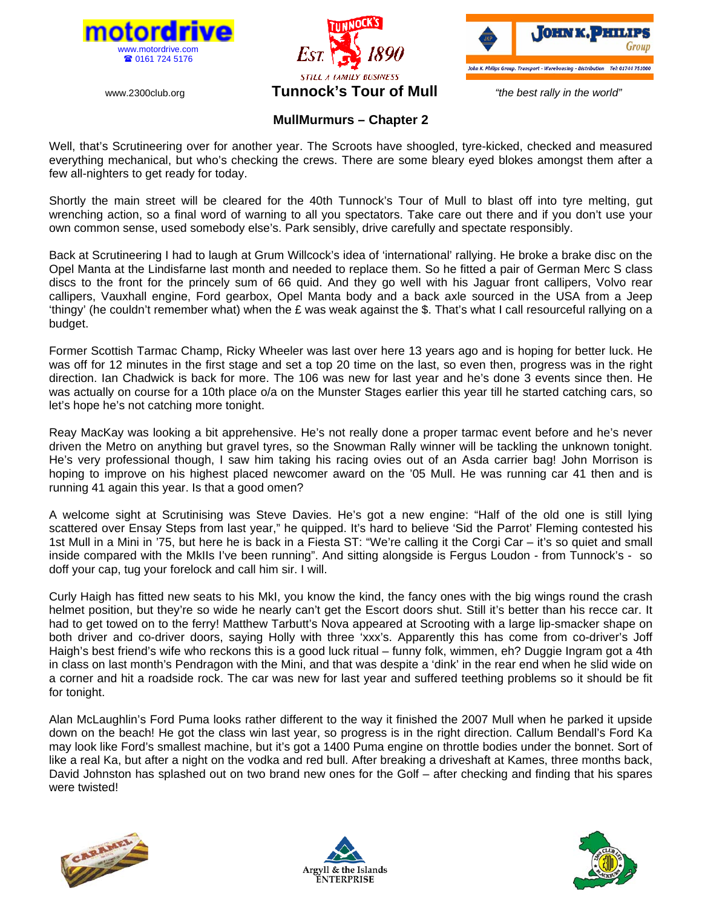





## **MullMurmurs – Chapter 2**

Well, that's Scrutineering over for another year. The Scroots have shoogled, tyre-kicked, checked and measured everything mechanical, but who's checking the crews. There are some bleary eyed blokes amongst them after a few all-nighters to get ready for today.

Shortly the main street will be cleared for the 40th Tunnock's Tour of Mull to blast off into tyre melting, gut wrenching action, so a final word of warning to all you spectators. Take care out there and if you don't use your own common sense, used somebody else's. Park sensibly, drive carefully and spectate responsibly.

Back at Scrutineering I had to laugh at Grum Willcock's idea of 'international' rallying. He broke a brake disc on the Opel Manta at the Lindisfarne last month and needed to replace them. So he fitted a pair of German Merc S class discs to the front for the princely sum of 66 quid. And they go well with his Jaguar front callipers, Volvo rear callipers, Vauxhall engine, Ford gearbox, Opel Manta body and a back axle sourced in the USA from a Jeep 'thingy' (he couldn't remember what) when the £ was weak against the \$. That's what I call resourceful rallying on a budget.

Former Scottish Tarmac Champ, Ricky Wheeler was last over here 13 years ago and is hoping for better luck. He was off for 12 minutes in the first stage and set a top 20 time on the last, so even then, progress was in the right direction. Ian Chadwick is back for more. The 106 was new for last year and he's done 3 events since then. He was actually on course for a 10th place o/a on the Munster Stages earlier this year till he started catching cars, so let's hope he's not catching more tonight.

Reay MacKay was looking a bit apprehensive. He's not really done a proper tarmac event before and he's never driven the Metro on anything but gravel tyres, so the Snowman Rally winner will be tackling the unknown tonight. He's very professional though, I saw him taking his racing ovies out of an Asda carrier bag! John Morrison is hoping to improve on his highest placed newcomer award on the '05 Mull. He was running car 41 then and is running 41 again this year. Is that a good omen?

A welcome sight at Scrutinising was Steve Davies. He's got a new engine: "Half of the old one is still lying scattered over Ensay Steps from last year," he quipped. It's hard to believe 'Sid the Parrot' Fleming contested his 1st Mull in a Mini in '75, but here he is back in a Fiesta ST: "We're calling it the Corgi Car – it's so quiet and small inside compared with the MkIIs I've been running". And sitting alongside is Fergus Loudon - from Tunnock's - so doff your cap, tug your forelock and call him sir. I will.

Curly Haigh has fitted new seats to his MkI, you know the kind, the fancy ones with the big wings round the crash helmet position, but they're so wide he nearly can't get the Escort doors shut. Still it's better than his recce car. It had to get towed on to the ferry! Matthew Tarbutt's Nova appeared at Scrooting with a large lip-smacker shape on both driver and co-driver doors, saying Holly with three 'xxx's. Apparently this has come from co-driver's Joff Haigh's best friend's wife who reckons this is a good luck ritual – funny folk, wimmen, eh? Duggie Ingram got a 4th in class on last month's Pendragon with the Mini, and that was despite a 'dink' in the rear end when he slid wide on a corner and hit a roadside rock. The car was new for last year and suffered teething problems so it should be fit for tonight.

Alan McLaughlin's Ford Puma looks rather different to the way it finished the 2007 Mull when he parked it upside down on the beach! He got the class win last year, so progress is in the right direction. Callum Bendall's Ford Ka may look like Ford's smallest machine, but it's got a 1400 Puma engine on throttle bodies under the bonnet. Sort of like a real Ka, but after a night on the vodka and red bull. After breaking a driveshaft at Kames, three months back, David Johnston has splashed out on two brand new ones for the Golf – after checking and finding that his spares were twisted!